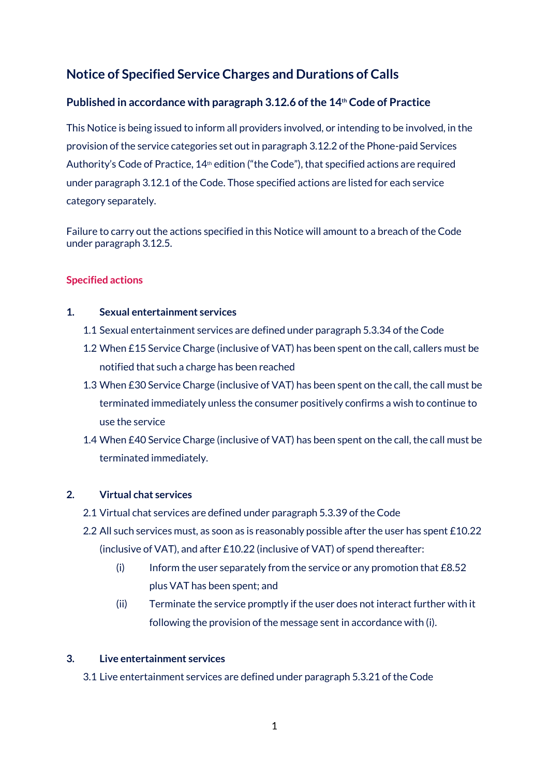# **Notice of Specified Service Charges and Durations of Calls**

## **Published in accordance with paragraph 3.12.6 of the 14 th Code of Practice**

This Notice is being issued to inform all providers involved, or intending to be involved, in the provision of the service categories set out in paragraph 3.12.2 of the Phone-paid Services Authority's Code of Practice,  $14<sup>th</sup>$  edition ("the Code"), that specified actions are required under paragraph 3.12.1 of the Code. Those specified actions are listed for each service category separately.

Failure to carry out the actions specified in this Notice will amount to a breach of the Code under paragraph 3.12.5.

#### **Specified actions**

#### **1. Sexual entertainment services**

- 1.1 Sexual entertainment services are defined under paragraph 5.3.34 of the Code
- 1.2 When £15 Service Charge (inclusive of VAT) has been spent on the call, callers must be notified that such a charge has been reached
- 1.3 When £30 Service Charge (inclusive of VAT) has been spent on the call, the call must be terminated immediately unless the consumer positively confirms a wish to continue to use the service
- 1.4 When £40 Service Charge (inclusive of VAT) has been spent on the call, the call must be terminated immediately.

## **2. Virtual chat services**

- 2.1 Virtual chat services are defined under paragraph 5.3.39 of the Code
- 2.2 All such services must, as soon as is reasonably possible after the user has spent £10.22 (inclusive of VAT), and after £10.22 (inclusive of VAT) of spend thereafter:
	- $(i)$  Inform the user separately from the service or any promotion that  $E8.52$ plus VAT has been spent; and
	- (ii) Terminate the service promptly if the user does not interact further with it following the provision of the message sent in accordance with (i).

#### **3. Live entertainment services**

3.1 Live entertainment services are defined under paragraph 5.3.21 of the Code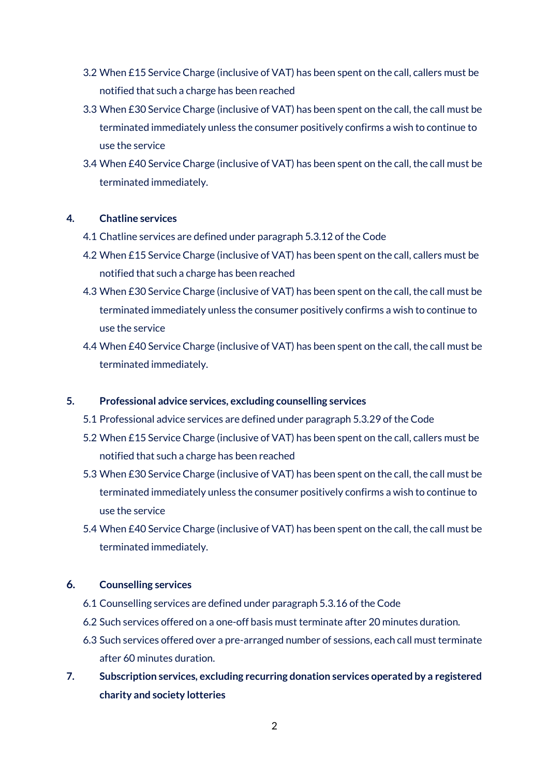- 3.2 When £15 Service Charge (inclusive of VAT) has been spent on the call, callers must be notified that such a charge has been reached
- 3.3 When £30 Service Charge (inclusive of VAT) has been spent on the call, the call must be terminated immediately unless the consumer positively confirms a wish to continue to use the service
- 3.4 When £40 Service Charge (inclusive of VAT) has been spent on the call, the call must be terminated immediately.

#### **4. Chatline services**

- 4.1 Chatline services are defined under paragraph 5.3.12 of the Code
- 4.2 When £15 Service Charge (inclusive of VAT) has been spent on the call, callers must be notified that such a charge has been reached
- 4.3 When £30 Service Charge (inclusive of VAT) has been spent on the call, the call must be terminated immediately unless the consumer positively confirms a wish to continue to use the service
- 4.4 When £40 Service Charge (inclusive of VAT) has been spent on the call, the call must be terminated immediately.

#### **5. Professional advice services, excluding counselling services**

- 5.1 Professional advice services are defined under paragraph 5.3.29 of the Code
- 5.2 When £15 Service Charge (inclusive of VAT) has been spent on the call, callers must be notified that such a charge has been reached
- 5.3 When £30 Service Charge (inclusive of VAT) has been spent on the call, the call must be terminated immediately unless the consumer positively confirms a wish to continue to use the service
- 5.4 When £40 Service Charge (inclusive of VAT) has been spent on the call, the call must be terminated immediately.

## **6. Counselling services**

- 6.1 Counselling services are defined under paragraph 5.3.16 of the Code
- 6.2 Such services offered on a one-off basis must terminate after 20 minutes duration.
- 6.3 Such services offered over a pre-arranged number of sessions, each call must terminate after 60 minutes duration.
- **7. Subscription services, excluding recurring donation services operated by a registered charity and society lotteries**